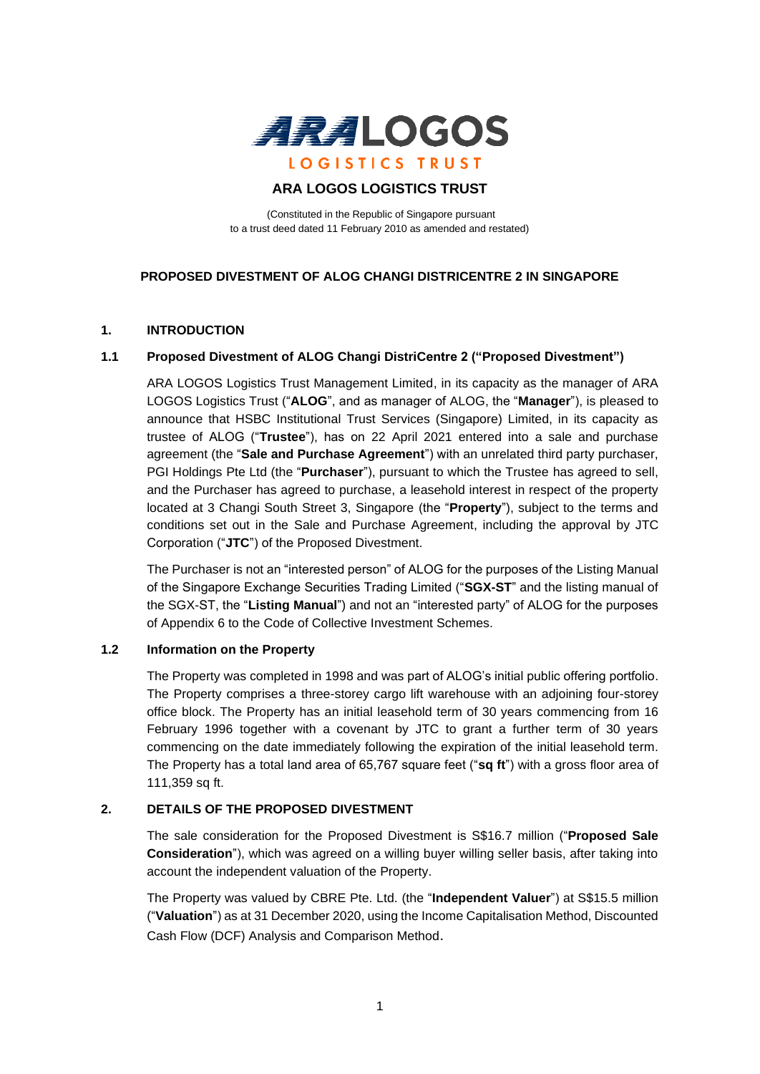

# **ARA LOGOS LOGISTICS TRUST**

(Constituted in the Republic of Singapore pursuant to a trust deed dated 11 February 2010 as amended and restated)

## **PROPOSED DIVESTMENT OF ALOG CHANGI DISTRICENTRE 2 IN SINGAPORE**

## **1. INTRODUCTION**

## **1.1 Proposed Divestment of ALOG Changi DistriCentre 2 ("Proposed Divestment")**

ARA LOGOS Logistics Trust Management Limited, in its capacity as the manager of ARA LOGOS Logistics Trust ("**ALOG**", and as manager of ALOG, the "**Manager**"), is pleased to announce that HSBC Institutional Trust Services (Singapore) Limited, in its capacity as trustee of ALOG ("**Trustee**"), has on 22 April 2021 entered into a sale and purchase agreement (the "**Sale and Purchase Agreement**") with an unrelated third party purchaser, PGI Holdings Pte Ltd (the "**Purchaser**"), pursuant to which the Trustee has agreed to sell, and the Purchaser has agreed to purchase, a leasehold interest in respect of the property located at 3 Changi South Street 3, Singapore (the "**Property**"), subject to the terms and conditions set out in the Sale and Purchase Agreement, including the approval by JTC Corporation ("**JTC**") of the Proposed Divestment.

The Purchaser is not an "interested person" of ALOG for the purposes of the Listing Manual of the Singapore Exchange Securities Trading Limited ("**SGX-ST**" and the listing manual of the SGX-ST, the "**Listing Manual**") and not an "interested party" of ALOG for the purposes of Appendix 6 to the Code of Collective Investment Schemes.

## **1.2 Information on the Property**

The Property was completed in 1998 and was part of ALOG's initial public offering portfolio. The Property comprises a three-storey cargo lift warehouse with an adjoining four-storey office block. The Property has an initial leasehold term of 30 years commencing from 16 February 1996 together with a covenant by JTC to grant a further term of 30 years commencing on the date immediately following the expiration of the initial leasehold term. The Property has a total land area of 65,767 square feet ("**sq ft**") with a gross floor area of 111,359 sq ft.

## **2. DETAILS OF THE PROPOSED DIVESTMENT**

The sale consideration for the Proposed Divestment is S\$16.7 million ("**Proposed Sale Consideration**"), which was agreed on a willing buyer willing seller basis, after taking into account the independent valuation of the Property.

The Property was valued by CBRE Pte. Ltd. (the "**Independent Valuer**") at S\$15.5 million ("**Valuation**") as at 31 December 2020, using the Income Capitalisation Method, Discounted Cash Flow (DCF) Analysis and Comparison Method.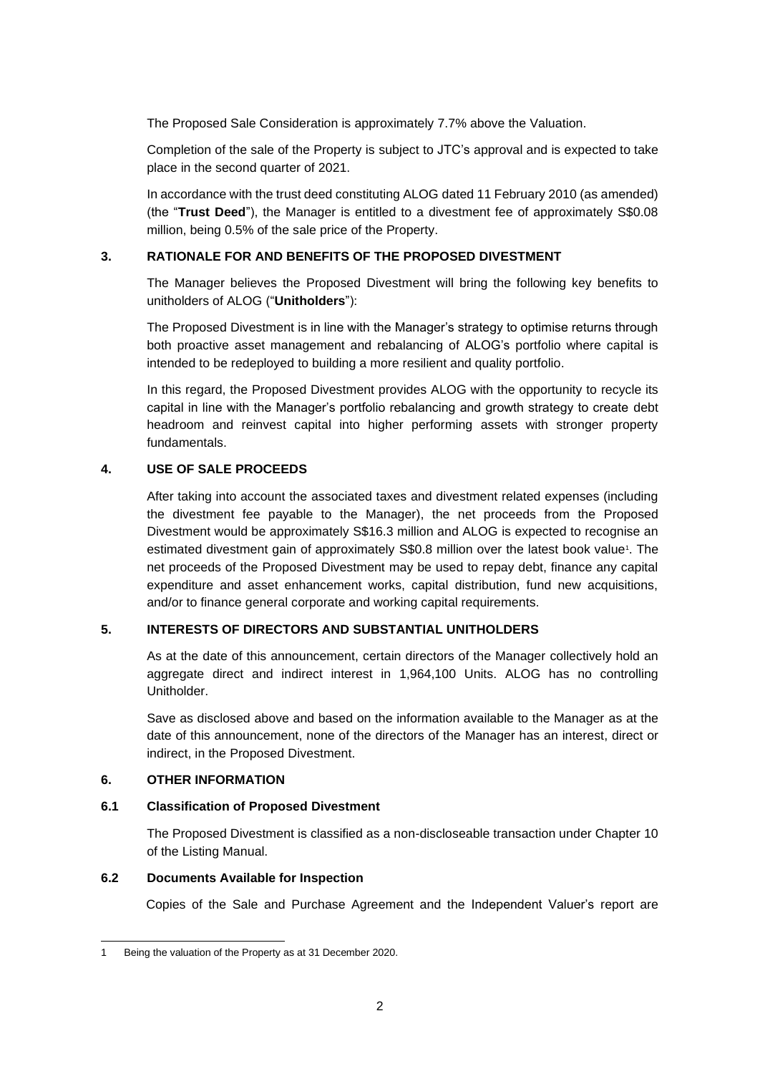The Proposed Sale Consideration is approximately 7.7% above the Valuation.

Completion of the sale of the Property is subject to JTC's approval and is expected to take place in the second quarter of 2021.

In accordance with the trust deed constituting ALOG dated 11 February 2010 (as amended) (the "**Trust Deed**"), the Manager is entitled to a divestment fee of approximately S\$0.08 million, being 0.5% of the sale price of the Property.

# **3. RATIONALE FOR AND BENEFITS OF THE PROPOSED DIVESTMENT**

The Manager believes the Proposed Divestment will bring the following key benefits to unitholders of ALOG ("**Unitholders**"):

The Proposed Divestment is in line with the Manager's strategy to optimise returns through both proactive asset management and rebalancing of ALOG's portfolio where capital is intended to be redeployed to building a more resilient and quality portfolio.

In this regard, the Proposed Divestment provides ALOG with the opportunity to recycle its capital in line with the Manager's portfolio rebalancing and growth strategy to create debt headroom and reinvest capital into higher performing assets with stronger property fundamentals.

## **4. USE OF SALE PROCEEDS**

After taking into account the associated taxes and divestment related expenses (including the divestment fee payable to the Manager), the net proceeds from the Proposed Divestment would be approximately S\$16.3 million and ALOG is expected to recognise an estimated divestment gain of approximately S\$0.8 million over the latest book value<sup>1</sup>. The net proceeds of the Proposed Divestment may be used to repay debt, finance any capital expenditure and asset enhancement works, capital distribution, fund new acquisitions, and/or to finance general corporate and working capital requirements.

## **5. INTERESTS OF DIRECTORS AND SUBSTANTIAL UNITHOLDERS**

As at the date of this announcement, certain directors of the Manager collectively hold an aggregate direct and indirect interest in 1,964,100 Units. ALOG has no controlling Unitholder.

Save as disclosed above and based on the information available to the Manager as at the date of this announcement, none of the directors of the Manager has an interest, direct or indirect, in the Proposed Divestment.

## **6. OTHER INFORMATION**

## **6.1 Classification of Proposed Divestment**

The Proposed Divestment is classified as a non-discloseable transaction under Chapter 10 of the Listing Manual.

## **6.2 Documents Available for Inspection**

Copies of the Sale and Purchase Agreement and the Independent Valuer's report are

<sup>1</sup> Being the valuation of the Property as at 31 December 2020.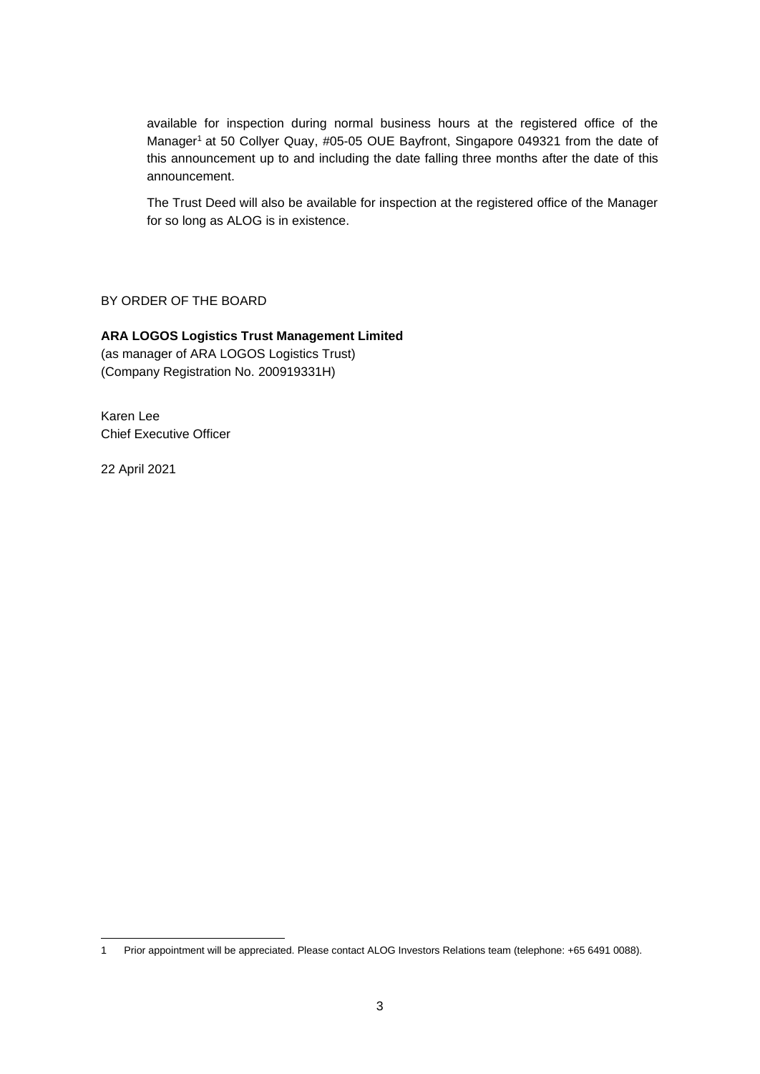available for inspection during normal business hours at the registered office of the Manager<sup>1</sup> at 50 Collyer Quay, #05-05 OUE Bayfront, Singapore 049321 from the date of this announcement up to and including the date falling three months after the date of this announcement.

The Trust Deed will also be available for inspection at the registered office of the Manager for so long as ALOG is in existence.

BY ORDER OF THE BOARD

## **ARA LOGOS Logistics Trust Management Limited**

(as manager of ARA LOGOS Logistics Trust) (Company Registration No. 200919331H)

Karen Lee Chief Executive Officer

22 April 2021

<sup>1</sup> Prior appointment will be appreciated. Please contact ALOG Investors Relations team (telephone: +65 6491 0088).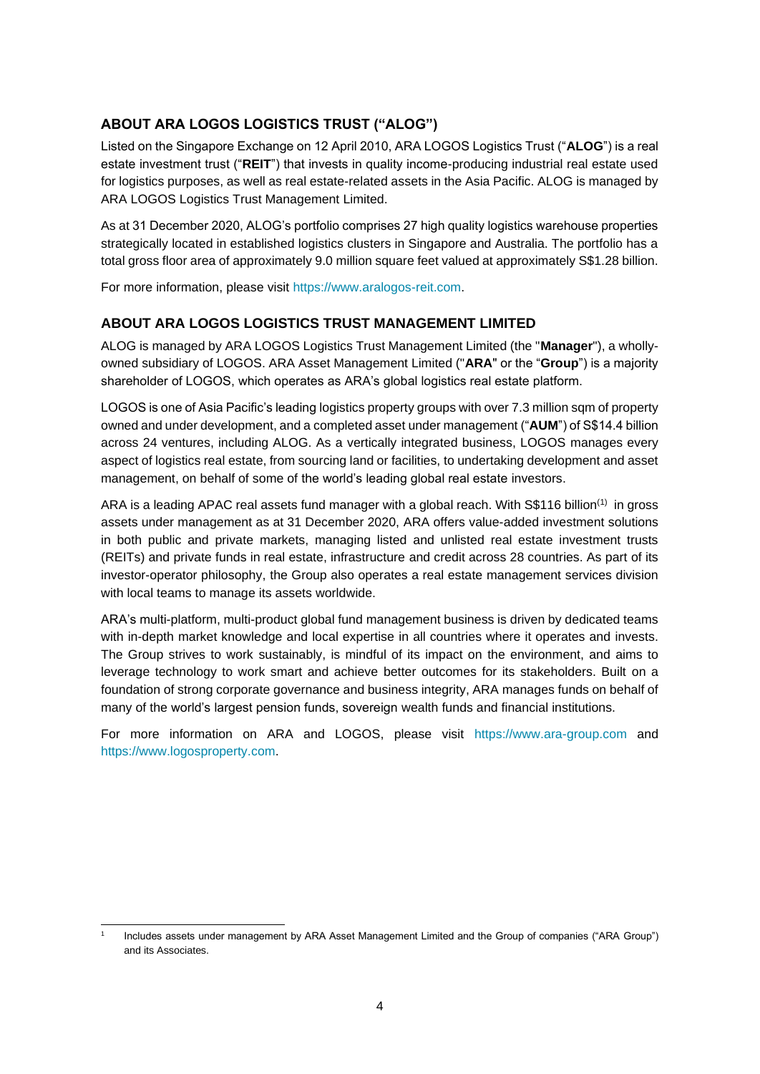# **ABOUT ARA LOGOS LOGISTICS TRUST ("ALOG")**

Listed on the Singapore Exchange on 12 April 2010, ARA LOGOS Logistics Trust ("**ALOG**") is a real estate investment trust ("**REIT**") that invests in quality income-producing industrial real estate used for logistics purposes, as well as real estate-related assets in the Asia Pacific. ALOG is managed by ARA LOGOS Logistics Trust Management Limited.

As at 31 December 2020, ALOG's portfolio comprises 27 high quality logistics warehouse properties strategically located in established logistics clusters in Singapore and Australia. The portfolio has a total gross floor area of approximately 9.0 million square feet valued at approximately S\$1.28 billion.

For more information, please visit https://www.aralogos-reit.com.

# **ABOUT ARA LOGOS LOGISTICS TRUST MANAGEMENT LIMITED**

ALOG is managed by ARA LOGOS Logistics Trust Management Limited (the "**Manager**"), a whollyowned subsidiary of LOGOS. ARA Asset Management Limited ("**ARA**" or the "**Group**") is a majority shareholder of LOGOS, which operates as ARA's global logistics real estate platform.

LOGOS is one of Asia Pacific's leading logistics property groups with over 7.3 million sqm of property owned and under development, and a completed asset under management ("**AUM**") of S\$14.4 billion across 24 ventures, including ALOG. As a vertically integrated business, LOGOS manages every aspect of logistics real estate, from sourcing land or facilities, to undertaking development and asset management, on behalf of some of the world's leading global real estate investors.

ARA is a leading APAC real assets fund manager with a global reach. With S\$116 billion<sup>(1)</sup> in gross assets under management as at 31 December 2020, ARA offers value-added investment solutions in both public and private markets, managing listed and unlisted real estate investment trusts (REITs) and private funds in real estate, infrastructure and credit across 28 countries. As part of its investor-operator philosophy, the Group also operates a real estate management services division with local teams to manage its assets worldwide.

ARA's multi-platform, multi-product global fund management business is driven by dedicated teams with in-depth market knowledge and local expertise in all countries where it operates and invests. The Group strives to work sustainably, is mindful of its impact on the environment, and aims to leverage technology to work smart and achieve better outcomes for its stakeholders. Built on a foundation of strong corporate governance and business integrity, ARA manages funds on behalf of many of the world's largest pension funds, sovereign wealth funds and financial institutions.

For more information on ARA and LOGOS, please visit [https://www.ara-group.com](https://www.ara-group.com/) and [https://www.logosproperty.com.](https://www.logosproperty.com/)

<sup>1</sup> Includes assets under management by ARA Asset Management Limited and the Group of companies ("ARA Group") and its Associates.